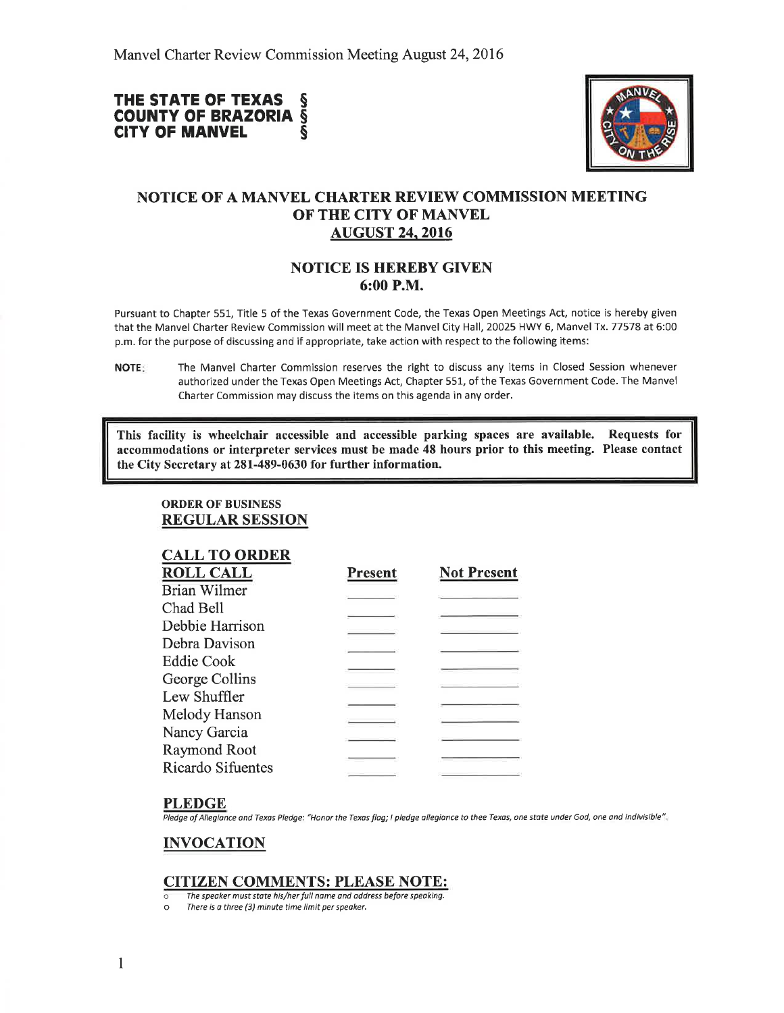# THE STATE OF TEXAS S **COUNTY OF BRAZORIA S<br>CITY OF MANVEL CITY OF MANVEL**



# NOTICE OF A MANVEL CIIARTER REVIEW COMMISSION MEETING OF THE CITY OF MANVEL AUGUST 24.2016

## NOTICE IS HEREBY GIVEN 6:00 P.M.

Pursuant to Chapter 551, Title 5 of the Texas Government Code, the Texas Open Meetings Act, notice is hereby given that the Manvel Charter Review Commission will meet at the Manvel City Hall, 20025 HWY 6, Manvel Tx. 77578 at 6:00 p.m. for the purpose of discussing and if appropriate, take action with respect to the following items:

This facility is wheelchair accessible and accessible parking spaces are available. Requests for accommodations or interpreter services must be made 48 hours prior to this meeting. Please contact the City Secretary at 281-489-0630 for further information.

ORDER OF BUSINESS REGULAR SESSION

| <b>CALL TO ORDER</b> |                |                    |
|----------------------|----------------|--------------------|
| <b>ROLL CALL</b>     | <b>Present</b> | <b>Not Present</b> |
| <b>Brian Wilmer</b>  |                |                    |
| Chad Bell            |                |                    |
| Debbie Harrison      |                |                    |
| Debra Davison        |                |                    |
| Eddie Cook           |                |                    |
| George Collins       |                |                    |
| Lew Shuffler         |                |                    |
| Melody Hanson        |                |                    |
| Nancy Garcia         |                |                    |
| Raymond Root         |                |                    |
| Ricardo Sifuentes    |                |                    |
|                      |                |                    |

#### PLEDGE

Pledge of Allegiance and Texas Pledge: "Honor the Texas flag; I pledge allegiance to thee Texas, one state under God, one and indivisible".

## INVOCATION

### CITIZEN COMMENTS: PLEASE NOTE:

- The speaker must state his/her full name and address before speaking.<br>
There is a three (3) minute time limit ner speaker.
- There is a three (3) minute time limit per speaker.

NOTE: The Manvel Charter Commission reserves the right to discuss any items in Closed Session whenever authorized under the Texas Open Meetings Act, Chapter 551, of the Texas Government Code. The Manvel Charter Commission may discuss the items on this agenda in any order.